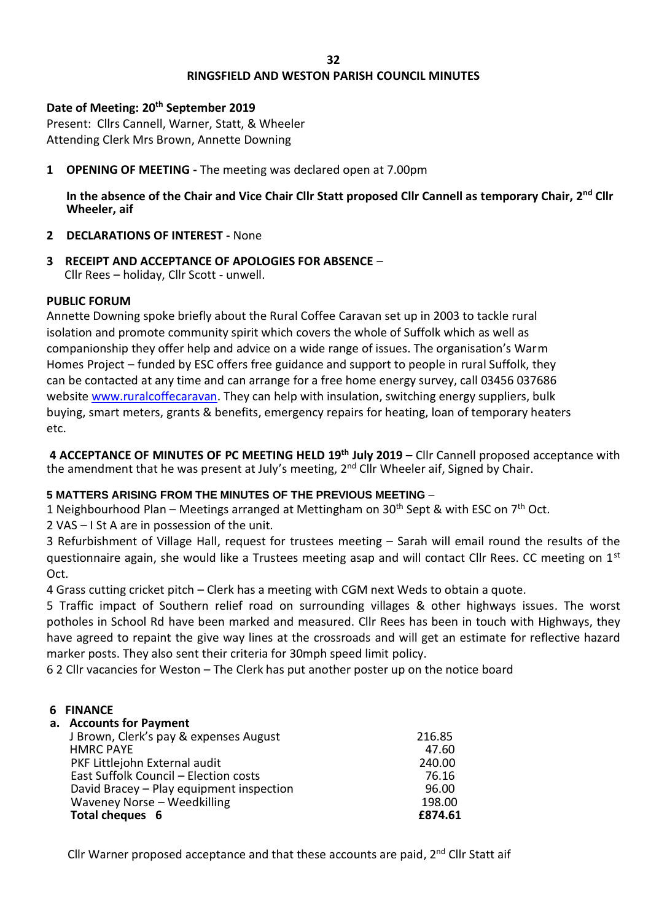## **RINGSFIELD AND WESTON PARISH COUNCIL MINUTES**

## **Date of Meeting: 20th September 2019**

Present: Cllrs Cannell, Warner, Statt, & Wheeler Attending Clerk Mrs Brown, Annette Downing

**1 OPENING OF MEETING -** The meeting was declared open at 7.00pm

**In the absence of the Chair and Vice Chair Cllr Statt proposed Cllr Cannell as temporary Chair, 2nd Cllr Wheeler, aif**

- **2 DECLARATIONS OF INTEREST -** None
- **3 RECEIPT AND ACCEPTANCE OF APOLOGIES FOR ABSENCE** Cllr Rees – holiday, Cllr Scott - unwell.

## **PUBLIC FORUM**

Annette Downing spoke briefly about the Rural Coffee Caravan set up in 2003 to tackle rural isolation and promote community spirit which covers the whole of Suffolk which as well as companionship they offer help and advice on a wide range of issues. The organisation's Warm Homes Project – funded by ESC offers free guidance and support to people in rural Suffolk, they can be contacted at any time and can arrange for a free home energy survey, call 03456 037686 website [www.ruralcoffecaravan.](http://www.ruralcoffecaravan/) They can help with insulation, switching energy suppliers, bulk buying, smart meters, grants & benefits, emergency repairs for heating, loan of temporary heaters etc.

**4 ACCEPTANCE OF MINUTES OF PC MEETING HELD 19th July 2019 –** Cllr Cannell proposed acceptance with the amendment that he was present at July's meeting, 2<sup>nd</sup> Cllr Wheeler aif, Signed by Chair.

# **5 MATTERS ARISING FROM THE MINUTES OF THE PREVIOUS MEETING** –

1 Neighbourhood Plan – Meetings arranged at Mettingham on 30<sup>th</sup> Sept & with ESC on 7<sup>th</sup> Oct.

2 VAS – I St A are in possession of the unit.

3 Refurbishment of Village Hall, request for trustees meeting – Sarah will email round the results of the questionnaire again, she would like a Trustees meeting asap and will contact Cllr Rees. CC meeting on  $1<sup>st</sup>$ Oct.

4 Grass cutting cricket pitch – Clerk has a meeting with CGM next Weds to obtain a quote.

5 Traffic impact of Southern relief road on surrounding villages & other highways issues. The worst potholes in School Rd have been marked and measured. Cllr Rees has been in touch with Highways, they have agreed to repaint the give way lines at the crossroads and will get an estimate for reflective hazard marker posts. They also sent their criteria for 30mph speed limit policy.

6 2 Cllr vacancies for Weston – The Clerk has put another poster up on the notice board

## **6 FINANCE**

**a. Accounts for Payment**

|  | <u><b>UI INDUCTING IOI I UTIINGIIN</b></u> |         |
|--|--------------------------------------------|---------|
|  | J Brown, Clerk's pay & expenses August     | 216.85  |
|  | <b>HMRC PAYE</b>                           | 47.60   |
|  | PKF Littlejohn External audit              | 240.00  |
|  | East Suffolk Council - Election costs      | 76.16   |
|  | David Bracey - Play equipment inspection   | 96.00   |
|  | Waveney Norse - Weedkilling                | 198.00  |
|  | Total cheques 6                            | £874.61 |
|  |                                            |         |

Cllr Warner proposed acceptance and that these accounts are paid, 2<sup>nd</sup> Cllr Statt aif